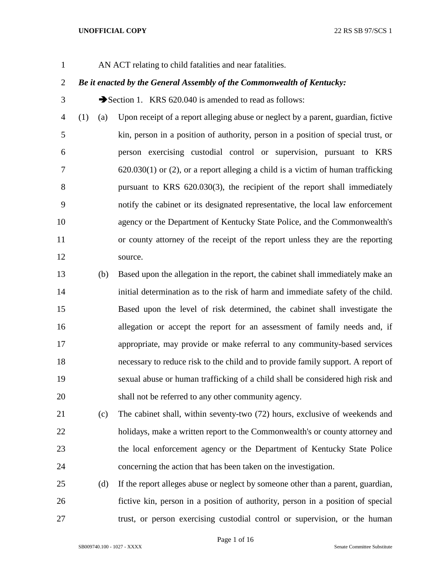AN ACT relating to child fatalities and near fatalities.

# *Be it enacted by the General Assembly of the Commonwealth of Kentucky:*

3 Section 1. KRS 620.040 is amended to read as follows:

 (1) (a) Upon receipt of a report alleging abuse or neglect by a parent, guardian, fictive kin, person in a position of authority, person in a position of special trust, or person exercising custodial control or supervision, pursuant to KRS 620.030(1) or (2), or a report alleging a child is a victim of human trafficking pursuant to KRS 620.030(3), the recipient of the report shall immediately notify the cabinet or its designated representative, the local law enforcement agency or the Department of Kentucky State Police, and the Commonwealth's or county attorney of the receipt of the report unless they are the reporting 12 source.

 (b) Based upon the allegation in the report, the cabinet shall immediately make an initial determination as to the risk of harm and immediate safety of the child. Based upon the level of risk determined, the cabinet shall investigate the allegation or accept the report for an assessment of family needs and, if appropriate, may provide or make referral to any community-based services necessary to reduce risk to the child and to provide family support. A report of sexual abuse or human trafficking of a child shall be considered high risk and shall not be referred to any other community agency.

 (c) The cabinet shall, within seventy-two (72) hours, exclusive of weekends and holidays, make a written report to the Commonwealth's or county attorney and the local enforcement agency or the Department of Kentucky State Police concerning the action that has been taken on the investigation.

 (d) If the report alleges abuse or neglect by someone other than a parent, guardian, fictive kin, person in a position of authority, person in a position of special trust, or person exercising custodial control or supervision, or the human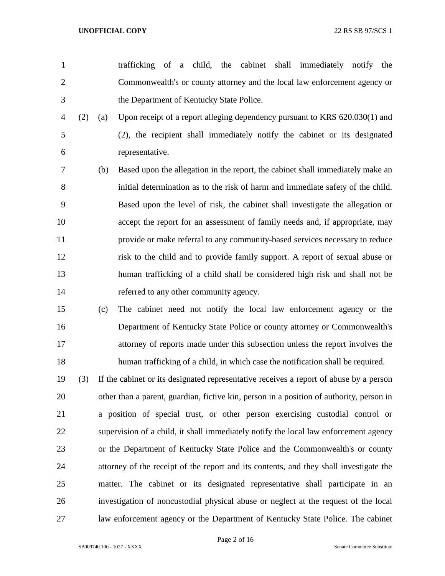- trafficking of a child, the cabinet shall immediately notify the Commonwealth's or county attorney and the local law enforcement agency or the Department of Kentucky State Police.
- (2) (a) Upon receipt of a report alleging dependency pursuant to KRS 620.030(1) and (2), the recipient shall immediately notify the cabinet or its designated representative.
- (b) Based upon the allegation in the report, the cabinet shall immediately make an initial determination as to the risk of harm and immediate safety of the child. Based upon the level of risk, the cabinet shall investigate the allegation or accept the report for an assessment of family needs and, if appropriate, may provide or make referral to any community-based services necessary to reduce risk to the child and to provide family support. A report of sexual abuse or human trafficking of a child shall be considered high risk and shall not be referred to any other community agency.
- (c) The cabinet need not notify the local law enforcement agency or the Department of Kentucky State Police or county attorney or Commonwealth's attorney of reports made under this subsection unless the report involves the human trafficking of a child, in which case the notification shall be required.
- (3) If the cabinet or its designated representative receives a report of abuse by a person other than a parent, guardian, fictive kin, person in a position of authority, person in a position of special trust, or other person exercising custodial control or supervision of a child, it shall immediately notify the local law enforcement agency or the Department of Kentucky State Police and the Commonwealth's or county attorney of the receipt of the report and its contents, and they shall investigate the matter. The cabinet or its designated representative shall participate in an investigation of noncustodial physical abuse or neglect at the request of the local law enforcement agency or the Department of Kentucky State Police. The cabinet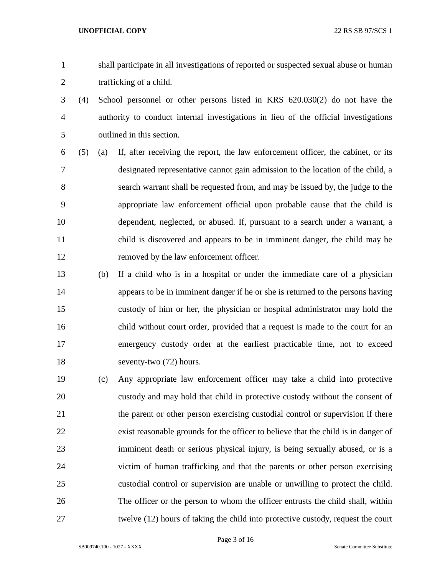- shall participate in all investigations of reported or suspected sexual abuse or human trafficking of a child.
- (4) School personnel or other persons listed in KRS 620.030(2) do not have the authority to conduct internal investigations in lieu of the official investigations outlined in this section.
- (5) (a) If, after receiving the report, the law enforcement officer, the cabinet, or its designated representative cannot gain admission to the location of the child, a search warrant shall be requested from, and may be issued by, the judge to the appropriate law enforcement official upon probable cause that the child is dependent, neglected, or abused. If, pursuant to a search under a warrant, a child is discovered and appears to be in imminent danger, the child may be removed by the law enforcement officer.
- (b) If a child who is in a hospital or under the immediate care of a physician appears to be in imminent danger if he or she is returned to the persons having custody of him or her, the physician or hospital administrator may hold the child without court order, provided that a request is made to the court for an emergency custody order at the earliest practicable time, not to exceed seventy-two (72) hours.
- (c) Any appropriate law enforcement officer may take a child into protective custody and may hold that child in protective custody without the consent of the parent or other person exercising custodial control or supervision if there exist reasonable grounds for the officer to believe that the child is in danger of imminent death or serious physical injury, is being sexually abused, or is a victim of human trafficking and that the parents or other person exercising custodial control or supervision are unable or unwilling to protect the child. The officer or the person to whom the officer entrusts the child shall, within twelve (12) hours of taking the child into protective custody, request the court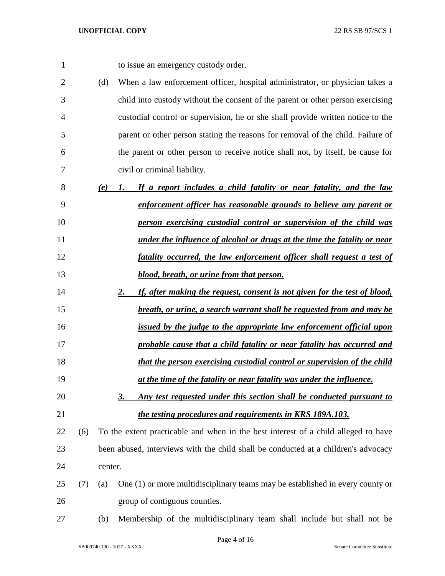to issue an emergency custody order.

- (d) When a law enforcement officer, hospital administrator, or physician takes a child into custody without the consent of the parent or other person exercising custodial control or supervision, he or she shall provide written notice to the parent or other person stating the reasons for removal of the child. Failure of the parent or other person to receive notice shall not, by itself, be cause for civil or criminal liability.
- *(e) 1. If a report includes a child fatality or near fatality, and the law enforcement officer has reasonable grounds to believe any parent or person exercising custodial control or supervision of the child was under the influence of alcohol or drugs at the time the fatality or near fatality occurred, the law enforcement officer shall request a test of blood, breath, or urine from that person.*
- *2. If, after making the request, consent is not given for the test of blood, breath, or urine, a search warrant shall be requested from and may be*
- *issued by the judge to the appropriate law enforcement official upon*
- *probable cause that a child fatality or near fatality has occurred and that the person exercising custodial control or supervision of the child*
- *at the time of the fatality or near fatality was under the influence.*
- *3. Any test requested under this section shall be conducted pursuant to the testing procedures and requirements in KRS 189A.103.*
- (6) To the extent practicable and when in the best interest of a child alleged to have been abused, interviews with the child shall be conducted at a children's advocacy center.
- (7) (a) One (1) or more multidisciplinary teams may be established in every county or group of contiguous counties.
- (b) Membership of the multidisciplinary team shall include but shall not be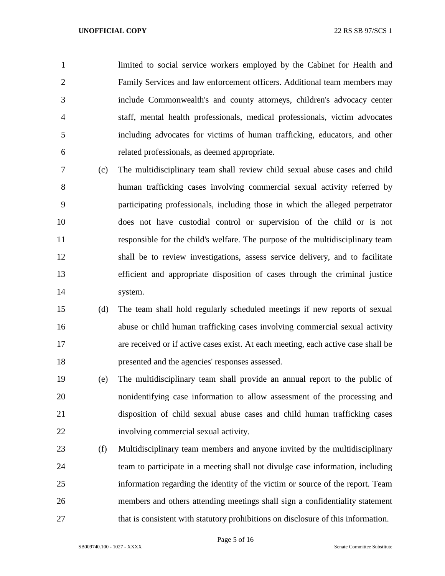limited to social service workers employed by the Cabinet for Health and Family Services and law enforcement officers. Additional team members may include Commonwealth's and county attorneys, children's advocacy center staff, mental health professionals, medical professionals, victim advocates including advocates for victims of human trafficking, educators, and other related professionals, as deemed appropriate.

- (c) The multidisciplinary team shall review child sexual abuse cases and child human trafficking cases involving commercial sexual activity referred by participating professionals, including those in which the alleged perpetrator does not have custodial control or supervision of the child or is not responsible for the child's welfare. The purpose of the multidisciplinary team shall be to review investigations, assess service delivery, and to facilitate efficient and appropriate disposition of cases through the criminal justice system.
- (d) The team shall hold regularly scheduled meetings if new reports of sexual abuse or child human trafficking cases involving commercial sexual activity are received or if active cases exist. At each meeting, each active case shall be presented and the agencies' responses assessed.
- (e) The multidisciplinary team shall provide an annual report to the public of nonidentifying case information to allow assessment of the processing and disposition of child sexual abuse cases and child human trafficking cases involving commercial sexual activity.
- (f) Multidisciplinary team members and anyone invited by the multidisciplinary team to participate in a meeting shall not divulge case information, including information regarding the identity of the victim or source of the report. Team members and others attending meetings shall sign a confidentiality statement that is consistent with statutory prohibitions on disclosure of this information.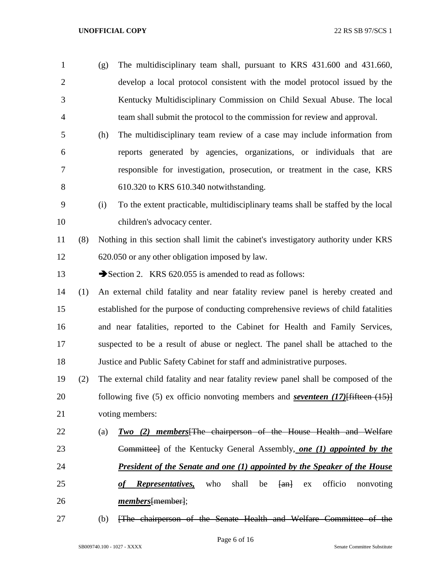- (g) The multidisciplinary team shall, pursuant to KRS 431.600 and 431.660, develop a local protocol consistent with the model protocol issued by the Kentucky Multidisciplinary Commission on Child Sexual Abuse. The local team shall submit the protocol to the commission for review and approval. (h) The multidisciplinary team review of a case may include information from
- reports generated by agencies, organizations, or individuals that are responsible for investigation, prosecution, or treatment in the case, KRS 610.320 to KRS 610.340 notwithstanding.
- (i) To the extent practicable, multidisciplinary teams shall be staffed by the local children's advocacy center.
- (8) Nothing in this section shall limit the cabinet's investigatory authority under KRS 620.050 or any other obligation imposed by law.
- 13 Section 2. KRS 620.055 is amended to read as follows:
- (1) An external child fatality and near fatality review panel is hereby created and established for the purpose of conducting comprehensive reviews of child fatalities and near fatalities, reported to the Cabinet for Health and Family Services, suspected to be a result of abuse or neglect. The panel shall be attached to the Justice and Public Safety Cabinet for staff and administrative purposes.
- (2) The external child fatality and near fatality review panel shall be composed of the following five (5) ex officio nonvoting members and *seventeen (17)*[fifteen (15)] voting members:
- (a) *Two (2) members*[The chairperson of the House Health and Welfare Committee] of the Kentucky General Assembly, *one (1) appointed by the President of the Senate and one (1) appointed by the Speaker of the House*  25 *of Representatives*, who shall be  $\{an\}$  ex officio nonvoting
- *members*[member];
- (b) [The chairperson of the Senate Health and Welfare Committee of the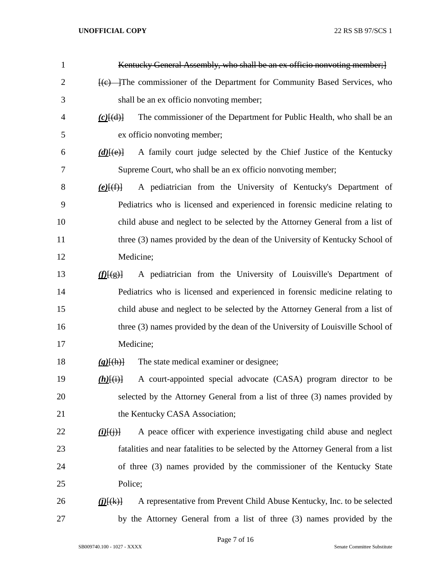| $\mathbf{1}$   | Kentucky General Assembly, who shall be an ex officio nonvoting member; }                                      |
|----------------|----------------------------------------------------------------------------------------------------------------|
| $\overline{2}$ | He commissioner of the Department for Community Based Services, who                                            |
| 3              | shall be an ex officio nonvoting member;                                                                       |
| $\overline{4}$ | The commissioner of the Department for Public Health, who shall be an<br>$(c)$ [(d)]                           |
| 5              | ex officio nonvoting member;                                                                                   |
| 6              | A family court judge selected by the Chief Justice of the Kentucky<br>$(d)$ [(e)]                              |
| 7              | Supreme Court, who shall be an ex officio nonvoting member;                                                    |
| 8              | A pediatrician from the University of Kentucky's Department of<br>$(e)$ $(f)$                                  |
| 9              | Pediatrics who is licensed and experienced in forensic medicine relating to                                    |
| 10             | child abuse and neglect to be selected by the Attorney General from a list of                                  |
| 11             | three (3) names provided by the dean of the University of Kentucky School of                                   |
| 12             | Medicine;                                                                                                      |
| 13             | A pediatrician from the University of Louisville's Department of<br>f(E(g))                                    |
| 14             | Pediatrics who is licensed and experienced in forensic medicine relating to                                    |
| 15             | child abuse and neglect to be selected by the Attorney General from a list of                                  |
| 16             | three (3) names provided by the dean of the University of Louisville School of                                 |
| 17             | Medicine;                                                                                                      |
| 18             | The state medical examiner or designee;<br>$(g)$ $(h)$                                                         |
| 19             | A court-appointed special advocate (CASA) program director to be<br>$(h)$ $(i)$                                |
| 20             | selected by the Attorney General from a list of three (3) names provided by                                    |
| 21             | the Kentucky CASA Association;                                                                                 |
| 22             | A peace officer with experience investigating child abuse and neglect<br>$(i)$ $(i)$ $(i)$ $(i)$               |
| 23             | fatalities and near fatalities to be selected by the Attorney General from a list                              |
| 24             | of three (3) names provided by the commissioner of the Kentucky State                                          |
| 25             | Police;                                                                                                        |
| 26             | A representative from Prevent Child Abuse Kentucky, Inc. to be selected<br>$(\underline{i})$ $(\underline{k})$ |
| 27             | by the Attorney General from a list of three (3) names provided by the                                         |

Page 7 of 16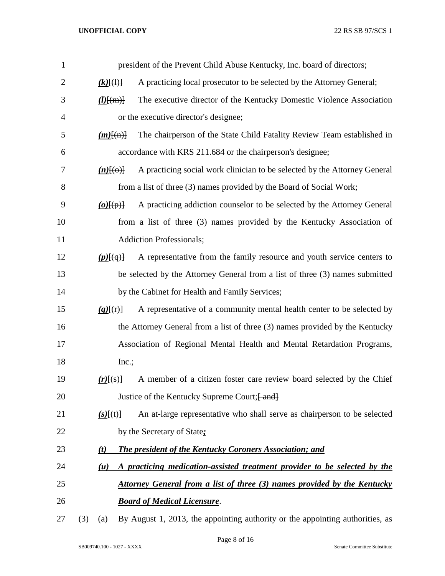| 1              |     |                    | president of the Prevent Child Abuse Kentucky, Inc. board of directors;       |
|----------------|-----|--------------------|-------------------------------------------------------------------------------|
| $\overline{2}$ |     | $(k)$ $(\cdot)$    | A practicing local prosecutor to be selected by the Attorney General;         |
| 3              |     | $(l)$ $\{ (m) \}$  | The executive director of the Kentucky Domestic Violence Association          |
| $\overline{4}$ |     |                    | or the executive director's designee;                                         |
| 5              |     | $(m)$ [(n)]        | The chairperson of the State Child Fatality Review Team established in        |
| 6              |     |                    | accordance with KRS 211.684 or the chairperson's designee;                    |
| 7              |     | $(n)$ [(o)]        | A practicing social work clinician to be selected by the Attorney General     |
| 8              |     |                    | from a list of three (3) names provided by the Board of Social Work;          |
| 9              |     | $(o)$ [ $(p)$ ]    | A practicing addiction counselor to be selected by the Attorney General       |
| 10             |     |                    | from a list of three (3) names provided by the Kentucky Association of        |
| 11             |     |                    | <b>Addiction Professionals;</b>                                               |
| 12             |     | $(p)$ [ $(q)$ ]    | A representative from the family resource and youth service centers to        |
| 13             |     |                    | be selected by the Attorney General from a list of three (3) names submitted  |
| 14             |     |                    | by the Cabinet for Health and Family Services;                                |
| 15             |     | $(q)$ [(r)]        | A representative of a community mental health center to be selected by        |
| 16             |     |                    | the Attorney General from a list of three (3) names provided by the Kentucky  |
| 17             |     |                    | Association of Regional Mental Health and Mental Retardation Programs,        |
| 18             |     | Inc.;              |                                                                               |
| 19             |     | $(r)$ $\{s\}$ $\}$ | A member of a citizen foster care review board selected by the Chief          |
| 20             |     |                    | Justice of the Kentucky Supreme Court; [ and]                                 |
| 21             |     | $(s)$ [(t)]        | An at-large representative who shall serve as chairperson to be selected      |
| 22             |     |                    | by the Secretary of State;                                                    |
| 23             |     | (t)                | <b>The president of the Kentucky Coroners Association; and</b>                |
| 24             |     | (u)                | A practicing medication-assisted treatment provider to be selected by the     |
| 25             |     |                    | Attorney General from a list of three (3) names provided by the Kentucky      |
| 26             |     |                    | <b>Board of Medical Licensure.</b>                                            |
| 27             | (3) | (a)                | By August 1, 2013, the appointing authority or the appointing authorities, as |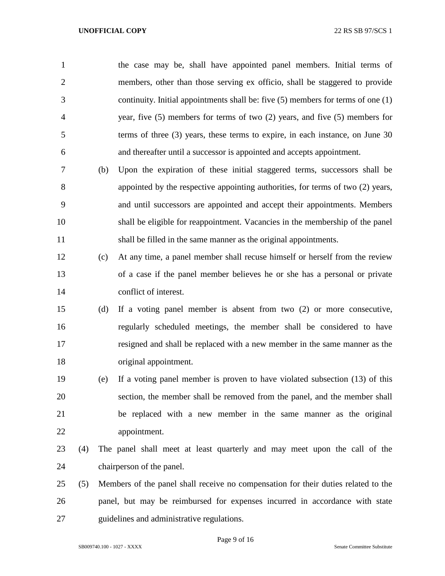| $\mathbf{1}$   |     |     | the case may be, shall have appointed panel members. Initial terms of                |
|----------------|-----|-----|--------------------------------------------------------------------------------------|
| $\overline{2}$ |     |     | members, other than those serving ex officio, shall be staggered to provide          |
| 3              |     |     | continuity. Initial appointments shall be: five $(5)$ members for terms of one $(1)$ |
| $\overline{4}$ |     |     | year, five $(5)$ members for terms of two $(2)$ years, and five $(5)$ members for    |
| 5              |     |     | terms of three $(3)$ years, these terms to expire, in each instance, on June 30      |
| 6              |     |     | and thereafter until a successor is appointed and accepts appointment.               |
| 7              |     | (b) | Upon the expiration of these initial staggered terms, successors shall be            |
| 8              |     |     | appointed by the respective appointing authorities, for terms of two (2) years,      |
| 9              |     |     | and until successors are appointed and accept their appointments. Members            |
| 10             |     |     | shall be eligible for reappointment. Vacancies in the membership of the panel        |
| 11             |     |     | shall be filled in the same manner as the original appointments.                     |
| 12             |     | (c) | At any time, a panel member shall recuse himself or herself from the review          |
| 13             |     |     | of a case if the panel member believes he or she has a personal or private           |
| 14             |     |     | conflict of interest.                                                                |
| 15             |     | (d) | If a voting panel member is absent from two $(2)$ or more consecutive,               |
| 16             |     |     | regularly scheduled meetings, the member shall be considered to have                 |
| 17             |     |     | resigned and shall be replaced with a new member in the same manner as the           |
| 18             |     |     | original appointment.                                                                |
| 19             |     | (e) | If a voting panel member is proven to have violated subsection $(13)$ of this        |
| 20             |     |     | section, the member shall be removed from the panel, and the member shall            |
| 21             |     |     | be replaced with a new member in the same manner as the original                     |
| 22             |     |     | appointment.                                                                         |
| 23             | (4) |     | The panel shall meet at least quarterly and may meet upon the call of the            |
| 24             |     |     | chairperson of the panel.                                                            |
| 25             | (5) |     | Members of the panel shall receive no compensation for their duties related to the   |
| 26             |     |     | panel, but may be reimbursed for expenses incurred in accordance with state          |
| 27             |     |     | guidelines and administrative regulations.                                           |

Page 9 of 16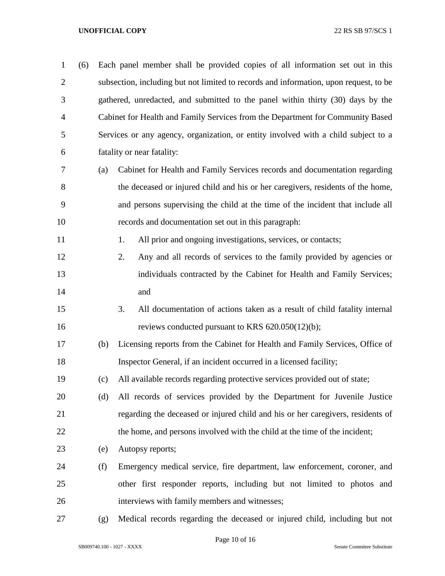| $\mathbf{1}$   | (6) |     | Each panel member shall be provided copies of all information set out in this         |
|----------------|-----|-----|---------------------------------------------------------------------------------------|
| $\overline{2}$ |     |     | subsection, including but not limited to records and information, upon request, to be |
| 3              |     |     | gathered, unredacted, and submitted to the panel within thirty (30) days by the       |
| 4              |     |     | Cabinet for Health and Family Services from the Department for Community Based        |
| 5              |     |     | Services or any agency, organization, or entity involved with a child subject to a    |
| 6              |     |     | fatality or near fatality:                                                            |
| 7              |     | (a) | Cabinet for Health and Family Services records and documentation regarding            |
| 8              |     |     | the deceased or injured child and his or her caregivers, residents of the home,       |
| 9              |     |     | and persons supervising the child at the time of the incident that include all        |
| 10             |     |     | records and documentation set out in this paragraph:                                  |
| 11             |     |     | All prior and ongoing investigations, services, or contacts;<br>1.                    |
| 12             |     |     | Any and all records of services to the family provided by agencies or<br>2.           |
| 13             |     |     | individuals contracted by the Cabinet for Health and Family Services;                 |
| 14             |     |     | and                                                                                   |
| 15             |     |     | 3.<br>All documentation of actions taken as a result of child fatality internal       |
| 16             |     |     | reviews conducted pursuant to KRS 620.050(12)(b);                                     |
| 17             |     | (b) | Licensing reports from the Cabinet for Health and Family Services, Office of          |
| 18             |     |     | Inspector General, if an incident occurred in a licensed facility;                    |
| 19             |     | (c) | All available records regarding protective services provided out of state;            |
| 20             |     | (d) | All records of services provided by the Department for Juvenile Justice               |
| 21             |     |     | regarding the deceased or injured child and his or her caregivers, residents of       |
| 22             |     |     | the home, and persons involved with the child at the time of the incident;            |
| 23             |     | (e) | Autopsy reports;                                                                      |
| 24             |     | (f) | Emergency medical service, fire department, law enforcement, coroner, and             |
| 25             |     |     | other first responder reports, including but not limited to photos and                |
| 26             |     |     | interviews with family members and witnesses;                                         |
| 27             |     | (g) | Medical records regarding the deceased or injured child, including but not            |

Page 10 of 16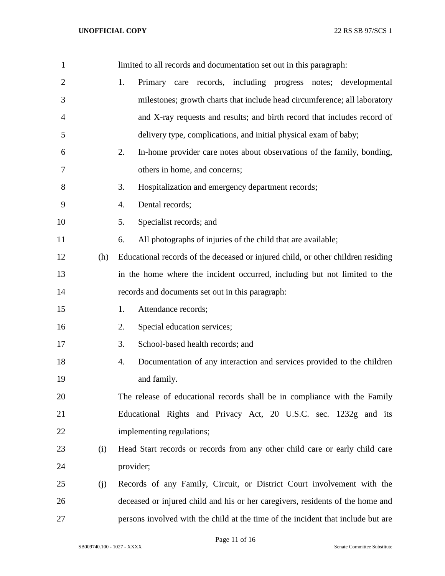| $\mathbf{1}$   |     | limited to all records and documentation set out in this paragraph:              |
|----------------|-----|----------------------------------------------------------------------------------|
| $\overline{2}$ |     | Primary care records, including progress notes; developmental<br>1.              |
| 3              |     | milestones; growth charts that include head circumference; all laboratory        |
| 4              |     | and X-ray requests and results; and birth record that includes record of         |
| 5              |     | delivery type, complications, and initial physical exam of baby;                 |
| 6              |     | In-home provider care notes about observations of the family, bonding,<br>2.     |
| 7              |     | others in home, and concerns;                                                    |
| 8              |     | 3.<br>Hospitalization and emergency department records;                          |
| 9              |     | Dental records;<br>4.                                                            |
| 10             |     | Specialist records; and<br>5.                                                    |
| 11             |     | All photographs of injuries of the child that are available;<br>6.               |
| 12             | (h) | Educational records of the deceased or injured child, or other children residing |
| 13             |     | in the home where the incident occurred, including but not limited to the        |
| 14             |     | records and documents set out in this paragraph:                                 |
| 15             |     | Attendance records;<br>1.                                                        |
| 16             |     | Special education services;<br>2.                                                |
| 17             |     | School-based health records; and<br>3.                                           |
| 18             |     | Documentation of any interaction and services provided to the children<br>4.     |
| 19             |     | and family.                                                                      |
| 20             |     | The release of educational records shall be in compliance with the Family        |
| 21             |     | Educational Rights and Privacy Act, 20 U.S.C. sec. 1232g and its                 |
| 22             |     | implementing regulations;                                                        |
| 23             | (i) | Head Start records or records from any other child care or early child care      |
| 24             |     | provider;                                                                        |
| 25             | (j) | Records of any Family, Circuit, or District Court involvement with the           |
| 26             |     | deceased or injured child and his or her caregivers, residents of the home and   |
| 27             |     | persons involved with the child at the time of the incident that include but are |

Page 11 of 16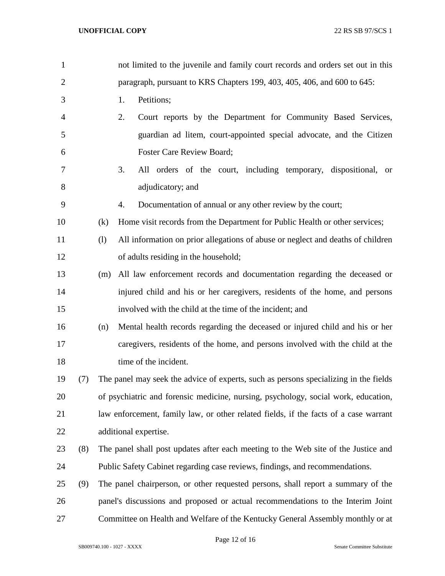| $\mathbf{1}$   |     |     | not limited to the juvenile and family court records and orders set out in this      |
|----------------|-----|-----|--------------------------------------------------------------------------------------|
| $\overline{c}$ |     |     | paragraph, pursuant to KRS Chapters 199, 403, 405, 406, and 600 to 645:              |
| 3              |     |     | Petitions;<br>1.                                                                     |
| 4              |     |     | 2.<br>Court reports by the Department for Community Based Services,                  |
| 5              |     |     | guardian ad litem, court-appointed special advocate, and the Citizen                 |
| 6              |     |     | Foster Care Review Board;                                                            |
| 7              |     |     | 3.<br>All orders of the court, including temporary, dispositional, or                |
| 8              |     |     | adjudicatory; and                                                                    |
| 9              |     |     | Documentation of annual or any other review by the court;<br>4.                      |
| 10             |     | (k) | Home visit records from the Department for Public Health or other services;          |
| 11             |     | (1) | All information on prior allegations of abuse or neglect and deaths of children      |
| 12             |     |     | of adults residing in the household;                                                 |
| 13             |     | (m) | All law enforcement records and documentation regarding the deceased or              |
| 14             |     |     | injured child and his or her caregivers, residents of the home, and persons          |
| 15             |     |     | involved with the child at the time of the incident; and                             |
| 16             |     | (n) | Mental health records regarding the deceased or injured child and his or her         |
| 17             |     |     | caregivers, residents of the home, and persons involved with the child at the        |
| 18             |     |     | time of the incident.                                                                |
| 19             | (7) |     | The panel may seek the advice of experts, such as persons specializing in the fields |
| 20             |     |     | of psychiatric and forensic medicine, nursing, psychology, social work, education,   |
| 21             |     |     | law enforcement, family law, or other related fields, if the facts of a case warrant |
| 22             |     |     | additional expertise.                                                                |
| 23             | (8) |     | The panel shall post updates after each meeting to the Web site of the Justice and   |
| 24             |     |     | Public Safety Cabinet regarding case reviews, findings, and recommendations.         |
| 25             | (9) |     | The panel chairperson, or other requested persons, shall report a summary of the     |
| 26             |     |     | panel's discussions and proposed or actual recommendations to the Interim Joint      |
| 27             |     |     | Committee on Health and Welfare of the Kentucky General Assembly monthly or at       |

Page 12 of 16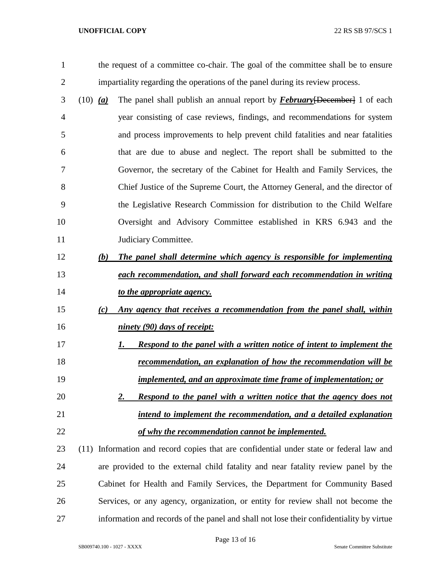the request of a committee co-chair. The goal of the committee shall be to ensure impartiality regarding the operations of the panel during its review process.

- (10) *(a)* The panel shall publish an annual report by *February*[December] 1 of each year consisting of case reviews, findings, and recommendations for system and process improvements to help prevent child fatalities and near fatalities that are due to abuse and neglect. The report shall be submitted to the Governor, the secretary of the Cabinet for Health and Family Services, the Chief Justice of the Supreme Court, the Attorney General, and the director of the Legislative Research Commission for distribution to the Child Welfare Oversight and Advisory Committee established in KRS 6.943 and the 11 Judiciary Committee.
- *(b) The panel shall determine which agency is responsible for implementing each recommendation, and shall forward each recommendation in writing to the appropriate agency.*
- *(c) Any agency that receives a recommendation from the panel shall, within ninety (90) days of receipt:*
- *1. Respond to the panel with a written notice of intent to implement the recommendation, an explanation of how the recommendation will be implemented, and an approximate time frame of implementation; or*
- *2. Respond to the panel with a written notice that the agency does not intend to implement the recommendation, and a detailed explanation of why the recommendation cannot be implemented.*
- (11) Information and record copies that are confidential under state or federal law and are provided to the external child fatality and near fatality review panel by the Cabinet for Health and Family Services, the Department for Community Based Services, or any agency, organization, or entity for review shall not become the information and records of the panel and shall not lose their confidentiality by virtue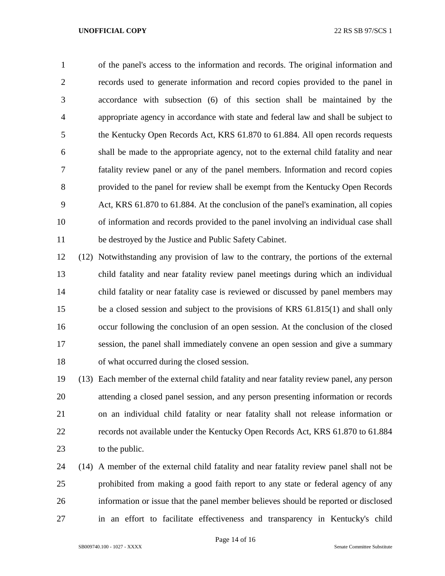of the panel's access to the information and records. The original information and records used to generate information and record copies provided to the panel in accordance with subsection (6) of this section shall be maintained by the appropriate agency in accordance with state and federal law and shall be subject to the Kentucky Open Records Act, KRS 61.870 to 61.884. All open records requests shall be made to the appropriate agency, not to the external child fatality and near fatality review panel or any of the panel members. Information and record copies provided to the panel for review shall be exempt from the Kentucky Open Records Act, KRS 61.870 to 61.884. At the conclusion of the panel's examination, all copies of information and records provided to the panel involving an individual case shall be destroyed by the Justice and Public Safety Cabinet.

 (12) Notwithstanding any provision of law to the contrary, the portions of the external child fatality and near fatality review panel meetings during which an individual child fatality or near fatality case is reviewed or discussed by panel members may be a closed session and subject to the provisions of KRS 61.815(1) and shall only occur following the conclusion of an open session. At the conclusion of the closed session, the panel shall immediately convene an open session and give a summary of what occurred during the closed session.

 (13) Each member of the external child fatality and near fatality review panel, any person attending a closed panel session, and any person presenting information or records on an individual child fatality or near fatality shall not release information or records not available under the Kentucky Open Records Act, KRS 61.870 to 61.884 23 to the public.

 (14) A member of the external child fatality and near fatality review panel shall not be prohibited from making a good faith report to any state or federal agency of any information or issue that the panel member believes should be reported or disclosed in an effort to facilitate effectiveness and transparency in Kentucky's child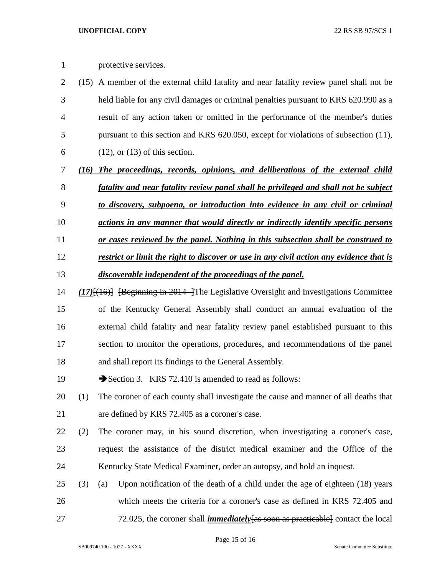protective services.

- (15) A member of the external child fatality and near fatality review panel shall not be held liable for any civil damages or criminal penalties pursuant to KRS 620.990 as a result of any action taken or omitted in the performance of the member's duties pursuant to this section and KRS 620.050, except for violations of subsection (11), 6 (12), or  $(13)$  of this section.
- *(16) The proceedings, records, opinions, and deliberations of the external child fatality and near fatality review panel shall be privileged and shall not be subject*
- *to discovery, subpoena, or introduction into evidence in any civil or criminal*
- *actions in any manner that would directly or indirectly identify specific persons*
- *or cases reviewed by the panel. Nothing in this subsection shall be construed to*
- *restrict or limit the right to discover or use in any civil action any evidence that is*
- *discoverable independent of the proceedings of the panel.*
- *(17)*[(16)] [Beginning in 2014 ]The Legislative Oversight and Investigations Committee of the Kentucky General Assembly shall conduct an annual evaluation of the external child fatality and near fatality review panel established pursuant to this section to monitor the operations, procedures, and recommendations of the panel and shall report its findings to the General Assembly.
- 19 Section 3. KRS 72.410 is amended to read as follows:
- (1) The coroner of each county shall investigate the cause and manner of all deaths that are defined by KRS 72.405 as a coroner's case.
- (2) The coroner may, in his sound discretion, when investigating a coroner's case, request the assistance of the district medical examiner and the Office of the Kentucky State Medical Examiner, order an autopsy, and hold an inquest.
- (3) (a) Upon notification of the death of a child under the age of eighteen (18) years which meets the criteria for a coroner's case as defined in KRS 72.405 and 72.025, the coroner shall *immediately*[as soon as practicable] contact the local